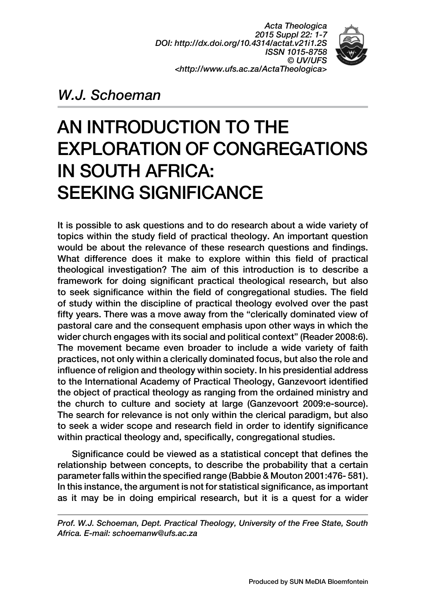*Acta Theologica 2015 Suppl 22: 1-7 DOI: http://dx.doi.org/10.4314/actat.v21i1.2S ISSN 1015-8758 © UV/UFS <http://www.ufs.ac.za/ActaTheologica>*



## *W.J. Schoeman*

# AN INTRODUCTION TO THE EXPLORATION OF CONGREGATIONS IN SOUTH AFRICA: SEEKING SIGNIFICANCE

It is possible to ask questions and to do research about a wide variety of topics within the study field of practical theology. An important question would be about the relevance of these research questions and findings. What difference does it make to explore within this field of practical theological investigation? The aim of this introduction is to describe a framework for doing significant practical theological research, but also to seek significance within the field of congregational studies. The field of study within the discipline of practical theology evolved over the past fifty years. There was a move away from the "clerically dominated view of pastoral care and the consequent emphasis upon other ways in which the wider church engages with its social and political context" (Reader 2008:6). The movement became even broader to include a wide variety of faith practices, not only within a clerically dominated focus, but also the role and influence of religion and theology within society. In his presidential address to the International Academy of Practical Theology, Ganzevoort identified the object of practical theology as ranging from the ordained ministry and the church to culture and society at large (Ganzevoort 2009:e-source). The search for relevance is not only within the clerical paradigm, but also to seek a wider scope and research field in order to identify significance within practical theology and, specifically, congregational studies.

Significance could be viewed as a statistical concept that defines the relationship between concepts, to describe the probability that a certain parameter falls within the specified range (Babbie & Mouton 2001:476- 581). In this instance, the argument is not for statistical significance, as important as it may be in doing empirical research, but it is a quest for a wider

*Prof. W.J. Schoeman, Dept. Practical Theology, University of the Free State, South Africa. E-mail: schoemanw@ufs.ac.za*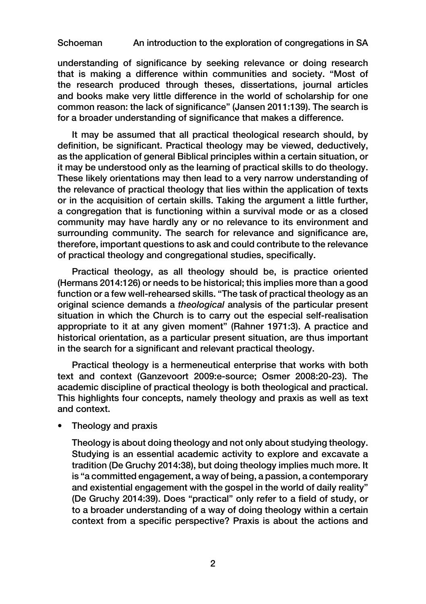#### Schoeman An introduction to the exploration of congregations in SA

understanding of significance by seeking relevance or doing research that is making a difference within communities and society. "Most of the research produced through theses, dissertations, journal articles and books make very little difference in the world of scholarship for one common reason: the lack of significance" (Jansen 2011:139). The search is for a broader understanding of significance that makes a difference.

It may be assumed that all practical theological research should, by definition, be significant. Practical theology may be viewed, deductively, as the application of general Biblical principles within a certain situation, or it may be understood only as the learning of practical skills to do theology. These likely orientations may then lead to a very narrow understanding of the relevance of practical theology that lies within the application of texts or in the acquisition of certain skills. Taking the argument a little further, a congregation that is functioning within a survival mode or as a closed community may have hardly any or no relevance to its environment and surrounding community. The search for relevance and significance are, therefore, important questions to ask and could contribute to the relevance of practical theology and congregational studies, specifically.

Practical theology, as all theology should be, is practice oriented (Hermans 2014:126) or needs to be historical; this implies more than a good function or a few well-rehearsed skills. "The task of practical theology as an original science demands a *theological* analysis of the particular present situation in which the Church is to carry out the especial self-realisation appropriate to it at any given moment" (Rahner 1971:3). A practice and historical orientation, as a particular present situation, are thus important in the search for a significant and relevant practical theology.

Practical theology is a hermeneutical enterprise that works with both text and context (Ganzevoort 2009:e-source; Osmer 2008:20-23). The academic discipline of practical theology is both theological and practical. This highlights four concepts, namely theology and praxis as well as text and context.

• Theology and praxis

Theology is about doing theology and not only about studying theology. Studying is an essential academic activity to explore and excavate a tradition (De Gruchy 2014:38), but doing theology implies much more. It is "a committed engagement, a way of being, a passion, a contemporary and existential engagement with the gospel in the world of daily reality" (De Gruchy 2014:39). Does "practical" only refer to a field of study, or to a broader understanding of a way of doing theology within a certain context from a specific perspective? Praxis is about the actions and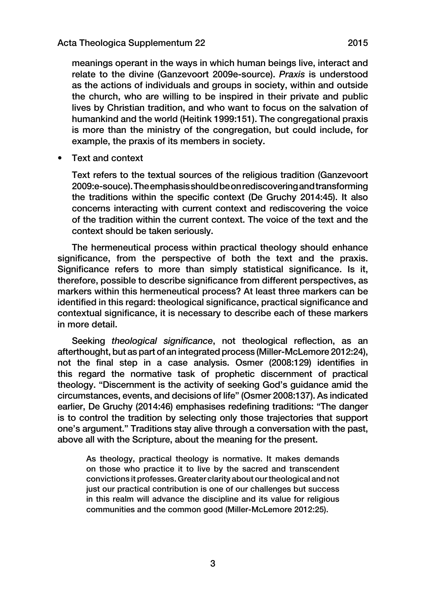meanings operant in the ways in which human beings live, interact and relate to the divine (Ganzevoort 2009e-source). *Praxis* is understood as the actions of individuals and groups in society, within and outside the church, who are willing to be inspired in their private and public lives by Christian tradition, and who want to focus on the salvation of humankind and the world (Heitink 1999:151). The congregational praxis is more than the ministry of the congregation, but could include, for example, the praxis of its members in society.

• Text and context

Text refers to the textual sources of the religious tradition (Ganzevoort 2009:e-souce). The emphasis should be on rediscovering and transforming the traditions within the specific context (De Gruchy 2014:45). It also concerns interacting with current context and rediscovering the voice of the tradition within the current context. The voice of the text and the context should be taken seriously.

The hermeneutical process within practical theology should enhance significance, from the perspective of both the text and the praxis. Significance refers to more than simply statistical significance. Is it, therefore, possible to describe significance from different perspectives, as markers within this hermeneutical process? At least three markers can be identified in this regard: theological significance, practical significance and contextual significance, it is necessary to describe each of these markers in more detail.

Seeking *theological significance*, not theological reflection, as an afterthought, but as part of an integrated process (Miller-McLemore 2012:24), not the final step in a case analysis. Osmer (2008:129) identifies in this regard the normative task of prophetic discernment of practical theology. "Discernment is the activity of seeking God's guidance amid the circumstances, events, and decisions of life" (Osmer 2008:137). As indicated earlier, De Gruchy (2014:46) emphasises redefining traditions: "The danger is to control the tradition by selecting only those trajectories that support one's argument." Traditions stay alive through a conversation with the past, above all with the Scripture, about the meaning for the present.

As theology, practical theology is normative. It makes demands on those who practice it to live by the sacred and transcendent convictions it professes. Greater clarity about our theological and not just our practical contribution is one of our challenges but success in this realm will advance the discipline and its value for religious communities and the common good (Miller-McLemore 2012:25).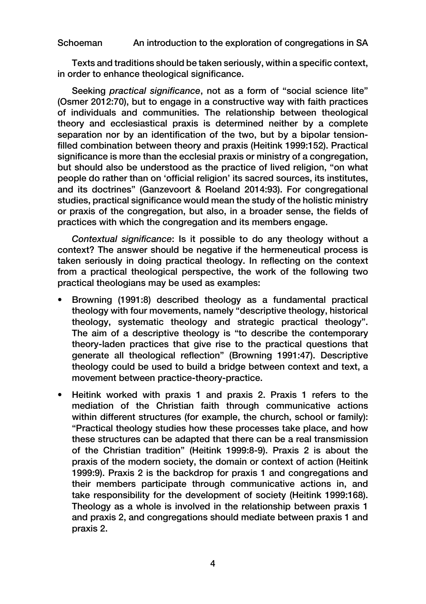#### Schoeman An introduction to the exploration of congregations in SA

Texts and traditions should be taken seriously, within a specific context, in order to enhance theological significance.

Seeking *practical significance*, not as a form of "social science lite" (Osmer 2012:70), but to engage in a constructive way with faith practices of individuals and communities. The relationship between theological theory and ecclesiastical praxis is determined neither by a complete separation nor by an identification of the two, but by a bipolar tensionfilled combination between theory and praxis (Heitink 1999:152). Practical significance is more than the ecclesial praxis or ministry of a congregation, but should also be understood as the practice of lived religion, "on what people do rather than on 'official religion' its sacred sources, its institutes, and its doctrines" (Ganzevoort & Roeland 2014:93). For congregational studies, practical significance would mean the study of the holistic ministry or praxis of the congregation, but also, in a broader sense, the fields of practices with which the congregation and its members engage.

*Contextual significance*: Is it possible to do any theology without a context? The answer should be negative if the hermeneutical process is taken seriously in doing practical theology. In reflecting on the context from a practical theological perspective, the work of the following two practical theologians may be used as examples:

- Browning (1991:8) described theology as a fundamental practical theology with four movements, namely "descriptive theology, historical theology, systematic theology and strategic practical theology". The aim of a descriptive theology is "to describe the contemporary theory-laden practices that give rise to the practical questions that generate all theological reflection" (Browning 1991:47). Descriptive theology could be used to build a bridge between context and text, a movement between practice-theory-practice.
- Heitink worked with praxis 1 and praxis 2. Praxis 1 refers to the mediation of the Christian faith through communicative actions within different structures (for example, the church, school or family): "Practical theology studies how these processes take place, and how these structures can be adapted that there can be a real transmission of the Christian tradition" (Heitink 1999:8-9). Praxis 2 is about the praxis of the modern society, the domain or context of action (Heitink 1999:9). Praxis 2 is the backdrop for praxis 1 and congregations and their members participate through communicative actions in, and take responsibility for the development of society (Heitink 1999:168). Theology as a whole is involved in the relationship between praxis 1 and praxis 2, and congregations should mediate between praxis 1 and praxis 2.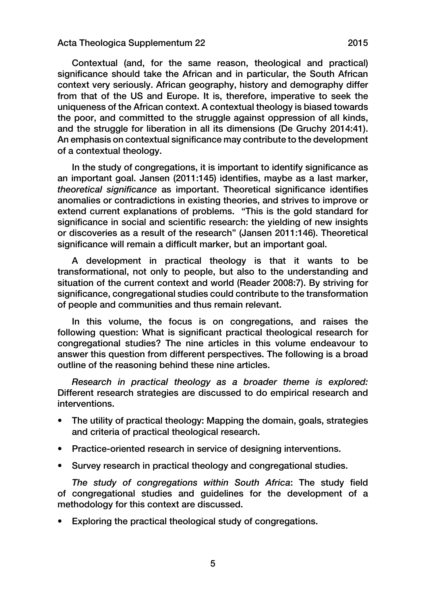#### Acta Theologica Supplementum 22 2015

Contextual (and, for the same reason, theological and practical) significance should take the African and in particular, the South African context very seriously. African geography, history and demography differ from that of the US and Europe. It is, therefore, imperative to seek the uniqueness of the African context. A contextual theology is biased towards the poor, and committed to the struggle against oppression of all kinds, and the struggle for liberation in all its dimensions (De Gruchy 2014:41). An emphasis on contextual significance may contribute to the development of a contextual theology.

In the study of congregations, it is important to identify significance as an important goal. Jansen (2011:145) identifies, maybe as a last marker, *theoretical significance* as important. Theoretical significance identifies anomalies or contradictions in existing theories, and strives to improve or extend current explanations of problems. "This is the gold standard for significance in social and scientific research: the yielding of new insights or discoveries as a result of the research" (Jansen 2011:146). Theoretical significance will remain a difficult marker, but an important goal.

A development in practical theology is that it wants to be transformational, not only to people, but also to the understanding and situation of the current context and world (Reader 2008:7). By striving for significance, congregational studies could contribute to the transformation of people and communities and thus remain relevant.

In this volume, the focus is on congregations, and raises the following question: What is significant practical theological research for congregational studies? The nine articles in this volume endeavour to answer this question from different perspectives. The following is a broad outline of the reasoning behind these nine articles.

*Research in practical theology as a broader theme is explored:* Different research strategies are discussed to do empirical research and interventions.

- The utility of practical theology: Mapping the domain, goals, strategies and criteria of practical theological research.
- Practice-oriented research in service of designing interventions.
- Survey research in practical theology and congregational studies.

*The study of congregations within South Africa*: The study field of congregational studies and guidelines for the development of a methodology for this context are discussed.

• Exploring the practical theological study of congregations.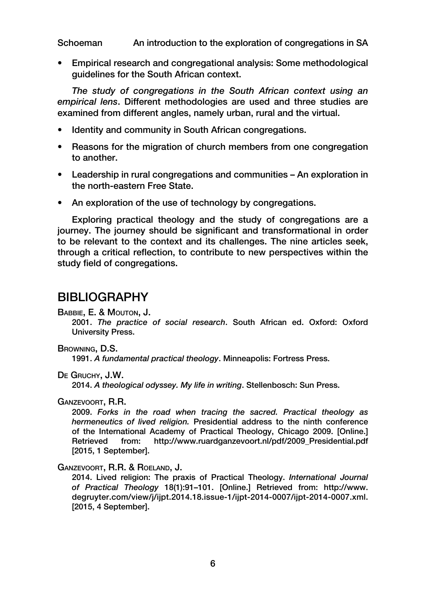Schoeman An introduction to the exploration of congregations in SA

• Empirical research and congregational analysis: Some methodological guidelines for the South African context.

*The study of congregations in the South African context using an empirical lens*. Different methodologies are used and three studies are examined from different angles, namely urban, rural and the virtual.

- Identity and community in South African congregations.
- Reasons for the migration of church members from one congregation to another.
- Leadership in rural congregations and communities An exploration in the north-eastern Free State.
- An exploration of the use of technology by congregations.

Exploring practical theology and the study of congregations are a journey. The journey should be significant and transformational in order to be relevant to the context and its challenges. The nine articles seek, through a critical reflection, to contribute to new perspectives within the study field of congregations.

### BIBLIOGRAPHY

Babbie, E. & Mouton, J.

2001. *The practice of social research*. South African ed. Oxford: Oxford University Press.

Browning, D.S.

1991. *A fundamental practical theology*. Minneapolis: Fortress Press.

De Gruchy, J.W.

2014. *A theological odyssey. My life in writing*. Stellenbosch: Sun Press.

Ganzevoort, R.R.

2009. *Forks in the road when tracing the sacred. Practical theology as hermeneutics of lived religion.* Presidential address to the ninth conference of the International Academy of Practical Theology, Chicago 2009. [Online.] Retrieved from: http://www.ruardganzevoort.nl/pdf/2009\_Presidential.pdf [2015, 1 September].

Ganzevoort, R.R. & Roeland, J.

2014. Lived religion: The praxis of Practical Theology. *International Journal of Practical Theology* 18(1):91–101. [Online.] Retrieved from: http://www. degruyter.com/view/j/ijpt.2014.18.issue-1/ijpt-2014-0007/ijpt-2014-0007.xml. [2015, 4 September].